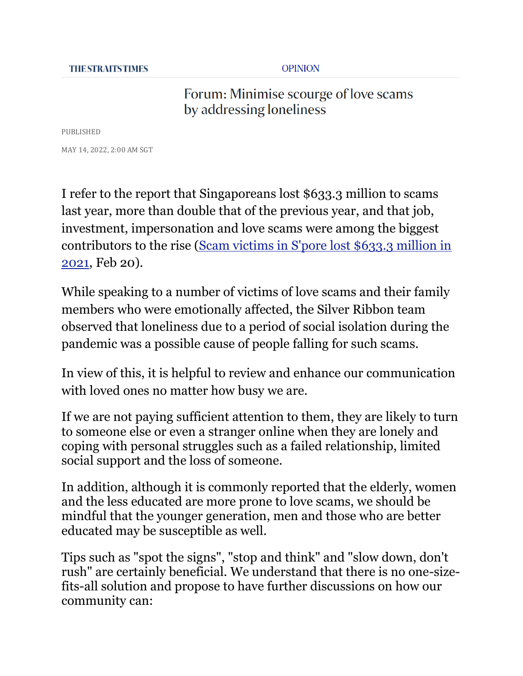**OPINION** 

Forum: Minimise scourge of love scams by addressing loneliness

PUBLISHED

MAY 14, 2022, 2:00 AM SGT

I refer to the report that Singaporeans lost \$633.3 million to scams last year, more than double that of the previous year, and that job, investment, impersonation and love scams were among the biggest contributors to the rise [\(Scam victims in S'pore lost \\$633.3 million in](https://www.straitstimes.com/singapore/courts-crime/victims-lost-6333-million-to-scams-in-2021)  [2021,](https://www.straitstimes.com/singapore/courts-crime/victims-lost-6333-million-to-scams-in-2021) Feb 20).

While speaking to a number of victims of love scams and their family members who were emotionally affected, the Silver Ribbon team observed that loneliness due to a period of social isolation during the pandemic was a possible cause of people falling for such scams.

In view of this, it is helpful to review and enhance our communication with loved ones no matter how busy we are.

If we are not paying sufficient attention to them, they are likely to turn to someone else or even a stranger online when they are lonely and coping with personal struggles such as a failed relationship, limited social support and the loss of someone.

In addition, although it is commonly reported that the elderly, women and the less educated are more prone to love scams, we should be mindful that the younger generation, men and those who are better educated may be susceptible as well.

Tips such as "spot the signs", "stop and think" and "slow down, don't rush" are certainly beneficial. We understand that there is no one-sizefits-all solution and propose to have further discussions on how our community can: